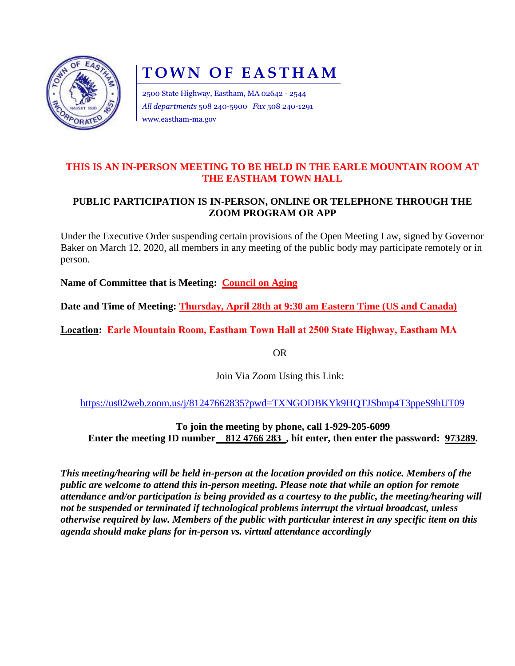

# **TOWN OF EASTHAM**

2500 State Highway, Eastham, MA 02642 - 2544 *All departments* 508 240-5900 *Fax* 508 240-1291 www.eastham-ma.gov

### **THIS IS AN IN-PERSON MEETING TO BE HELD IN THE EARLE MOUNTAIN ROOM AT THE EASTHAM TOWN HALL**

## **PUBLIC PARTICIPATION IS IN-PERSON, ONLINE OR TELEPHONE THROUGH THE ZOOM PROGRAM OR APP**

Under the Executive Order suspending certain provisions of the Open Meeting Law, signed by Governor Baker on March 12, 2020, all members in any meeting of the public body may participate remotely or in person.

**Name of Committee that is Meeting: Council on Aging**

**Date and Time of Meeting: Thursday, April 28th at 9:30 am Eastern Time (US and Canada)**

**Location: Earle Mountain Room, Eastham Town Hall at 2500 State Highway, Eastham MA**

OR

Join Via Zoom Using this Link:

<https://us02web.zoom.us/j/81247662835?pwd=TXNGODBKYk9HQTJSbmp4T3ppeS9hUT09>

**To join the meeting by phone, call 1-929-205-6099 Enter the meeting ID number** 812 4766 283, hit enter, then enter the password: 973289.

*This meeting/hearing will be held in-person at the location provided on this notice. Members of the public are welcome to attend this in-person meeting. Please note that while an option for remote attendance and/or participation is being provided as a courtesy to the public, the meeting/hearing will not be suspended or terminated if technological problems interrupt the virtual broadcast, unless otherwise required by law. Members of the public with particular interest in any specific item on this agenda should make plans for in-person vs. virtual attendance accordingly*